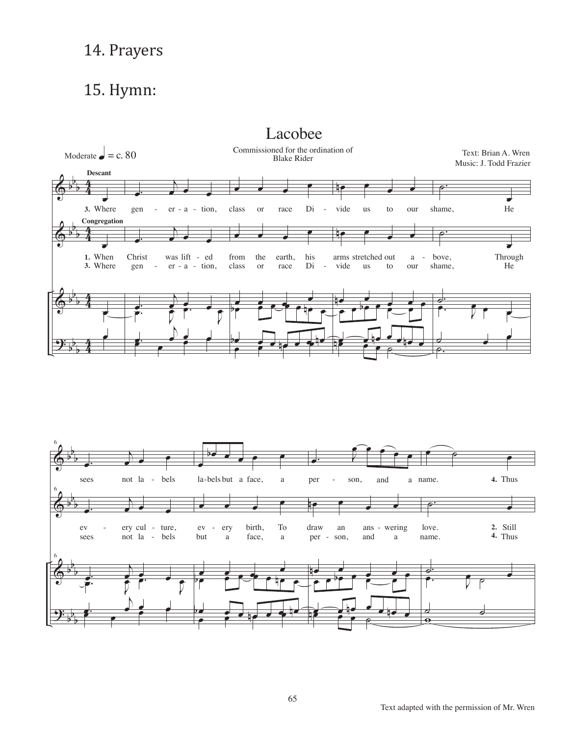## 14. Prayers

## 15. Hymn:



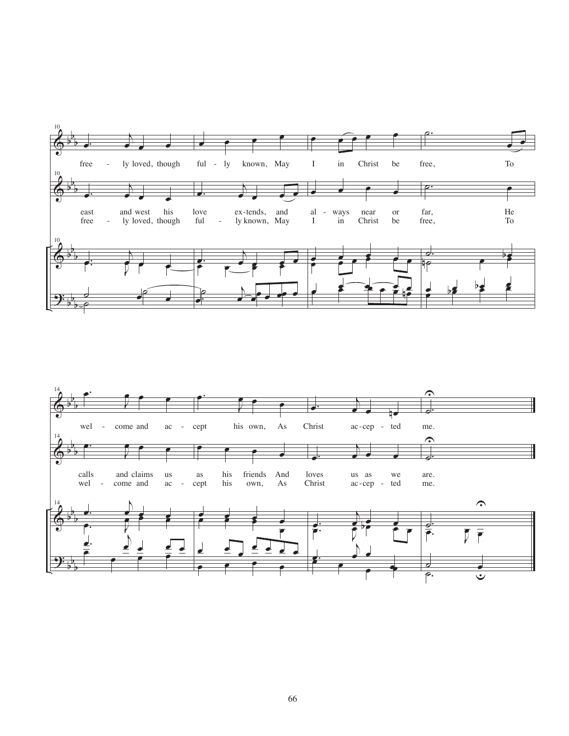